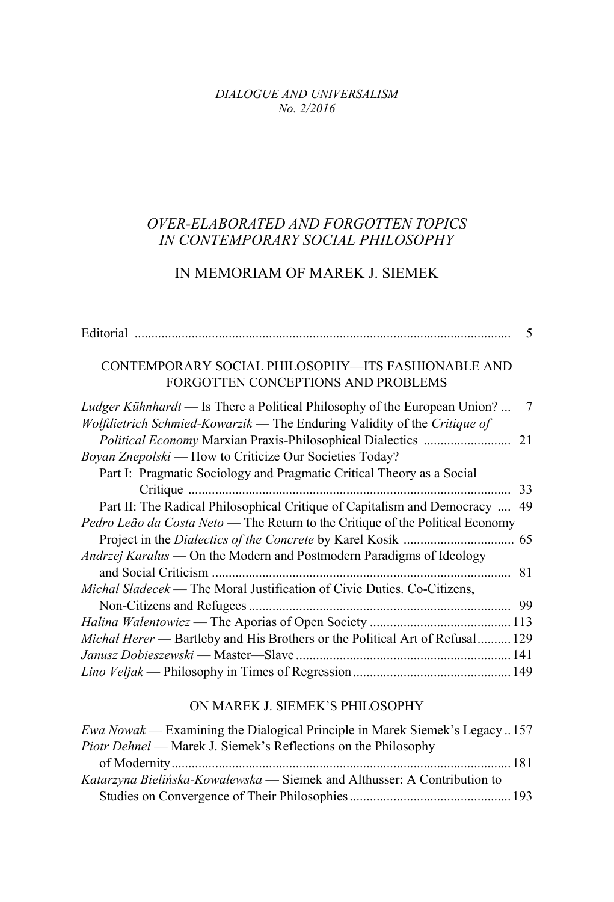*DIALOGUE AND UNIVERSALISM No. 2/2016*

## *OVER-ELABORATED AND FORGOTTEN TOPICS IN CONTEMPORARY SOCIAL PHILOSOPHY*

## IN MEMORIAM OF MAREK J. SIEMEK

|                                                                                                                                                              | 5 |
|--------------------------------------------------------------------------------------------------------------------------------------------------------------|---|
| CONTEMPORARY SOCIAL PHILOSOPHY—ITS FASHIONABLE AND<br>FORGOTTEN CONCEPTIONS AND PROBLEMS                                                                     |   |
| <i>Ludger Kühnhardt</i> — Is There a Political Philosophy of the European Union?<br>Wolfdietrich Schmied-Kowarzik — The Enduring Validity of the Critique of | 7 |
| Boyan Znepolski — How to Criticize Our Societies Today?                                                                                                      |   |
| Part I: Pragmatic Sociology and Pragmatic Critical Theory as a Social                                                                                        |   |
|                                                                                                                                                              |   |
| Part II: The Radical Philosophical Critique of Capitalism and Democracy  49                                                                                  |   |
| Pedro Leão da Costa Neto — The Return to the Critique of the Political Economy                                                                               |   |
|                                                                                                                                                              |   |
| <i>Andrzej Karalus</i> — On the Modern and Postmodern Paradigms of Ideology                                                                                  |   |
|                                                                                                                                                              |   |
| Michal Sladecek — The Moral Justification of Civic Duties. Co-Citizens,                                                                                      |   |
|                                                                                                                                                              |   |
|                                                                                                                                                              |   |
| Michal Herer - Bartleby and His Brothers or the Political Art of Refusal 129                                                                                 |   |
|                                                                                                                                                              |   |
|                                                                                                                                                              |   |

## ON MAREK J. SIEMEK'S PHILOSOPHY

| Ewa Nowak — Examining the Dialogical Principle in Marek Siemek's Legacy157 |  |
|----------------------------------------------------------------------------|--|
| <i>Piotr Dehnel</i> — Marek J. Siemek's Reflections on the Philosophy      |  |
|                                                                            |  |
| Katarzyna Bielińska-Kowalewska — Siemek and Althusser: A Contribution to   |  |
|                                                                            |  |